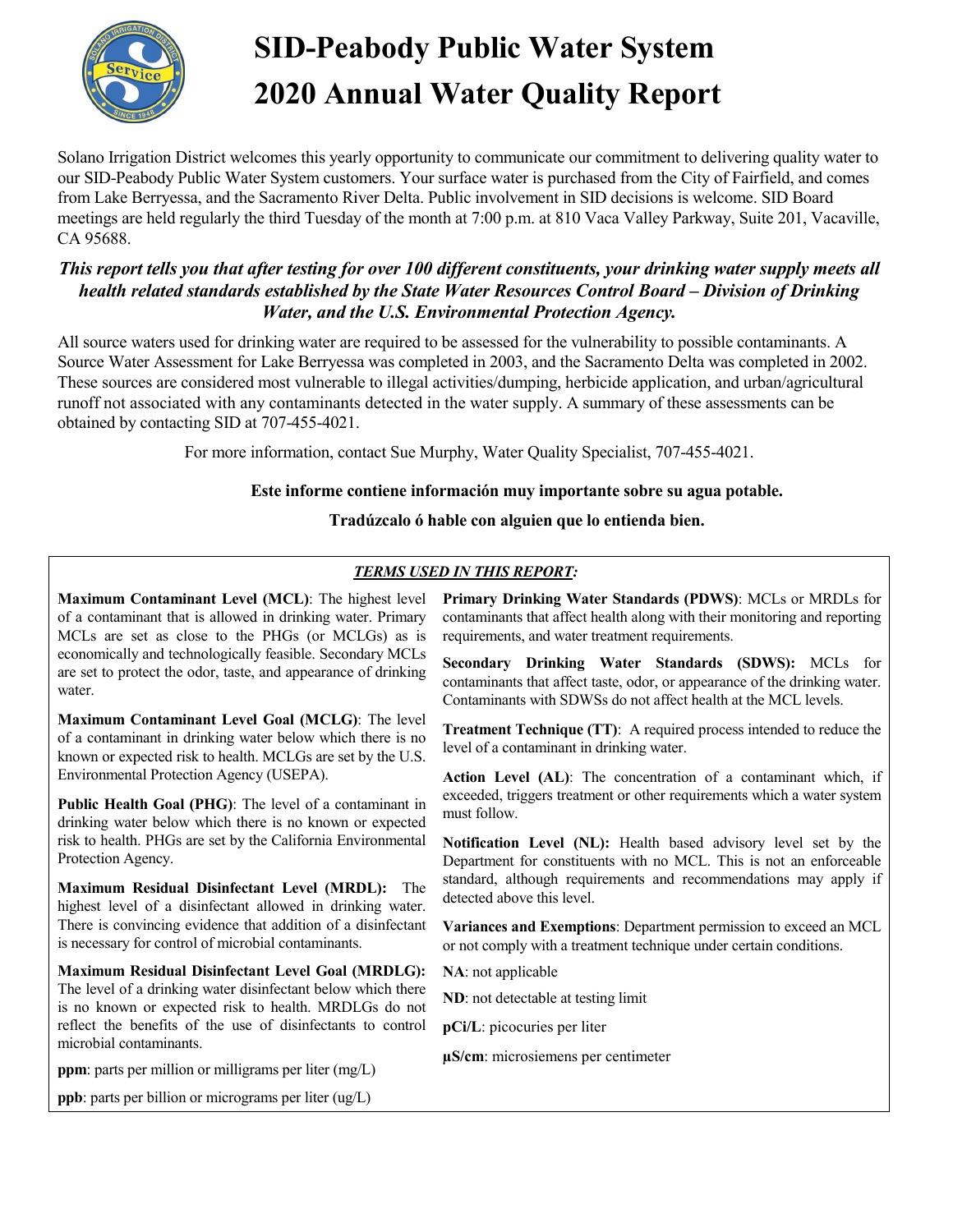

# **SID-Peabody Public Water System 2020 Annual Water Quality Report**

Solano Irrigation District welcomes this yearly opportunity to communicate our commitment to delivering quality water to our SID-Peabody Public Water System customers. Your surface water is purchased from the City of Fairfield, and comes from Lake Berryessa, and the Sacramento River Delta. Public involvement in SID decisions is welcome. SID Board meetings are held regularly the third Tuesday of the month at 7:00 p.m. at 810 Vaca Valley Parkway, Suite 201, Vacaville, CA 95688.

#### *This report tells you that after testing for over 100 different constituents, your drinking water supply meets all health related standards established by the State Water Resources Control Board – Division of Drinking Water, and the U.S. Environmental Protection Agency.*

All source waters used for drinking water are required to be assessed for the vulnerability to possible contaminants. A Source Water Assessment for Lake Berryessa was completed in 2003, and the Sacramento Delta was completed in 2002. These sources are considered most vulnerable to illegal activities/dumping, herbicide application, and urban/agricultural runoff not associated with any contaminants detected in the water supply. A summary of these assessments can be obtained by contacting SID at 707-455-4021.

For more information, contact Sue Murphy, Water Quality Specialist, 707-455-4021.

#### **Este informe contiene información muy importante sobre su agua potable.**

#### **Tradúzcalo ó hable con alguien que lo entienda bien.**

#### *TERMS USED IN THIS REPORT:*

**Maximum Contaminant Level (MCL)**: The highest level of a contaminant that is allowed in drinking water. Primary MCLs are set as close to the PHGs (or MCLGs) as is economically and technologically feasible. Secondary MCLs are set to protect the odor, taste, and appearance of drinking water.

**Maximum Contaminant Level Goal (MCLG)**: The level of a contaminant in drinking water below which there is no known or expected risk to health. MCLGs are set by the U.S. Environmental Protection Agency (USEPA).

**Public Health Goal (PHG)**: The level of a contaminant in drinking water below which there is no known or expected risk to health. PHGs are set by the California Environmental Protection Agency.

**Maximum Residual Disinfectant Level (MRDL):** The highest level of a disinfectant allowed in drinking water. There is convincing evidence that addition of a disinfectant is necessary for control of microbial contaminants.

**Maximum Residual Disinfectant Level Goal (MRDLG):**  The level of a drinking water disinfectant below which there is no known or expected risk to health. MRDLGs do not reflect the benefits of the use of disinfectants to control microbial contaminants.

**ppm**: parts per million or milligrams per liter (mg/L)

**ppb**: parts per billion or micrograms per liter (ug/L)

**Primary Drinking Water Standards (PDWS)**: MCLs or MRDLs for contaminants that affect health along with their monitoring and reporting requirements, and water treatment requirements.

**Secondary Drinking Water Standards (SDWS):** MCLs for contaminants that affect taste, odor, or appearance of the drinking water. Contaminants with SDWSs do not affect health at the MCL levels.

**Treatment Technique (TT)**: A required process intended to reduce the level of a contaminant in drinking water.

**Action Level (AL)**: The concentration of a contaminant which, if exceeded, triggers treatment or other requirements which a water system must follow.

**Notification Level (NL):** Health based advisory level set by the Department for constituents with no MCL. This is not an enforceable standard, although requirements and recommendations may apply if detected above this level.

**Variances and Exemptions**: Department permission to exceed an MCL or not comply with a treatment technique under certain conditions.

**NA**: not applicable

**ND**: not detectable at testing limit

**pCi/L**: picocuries per liter

**µS/cm**: microsiemens per centimeter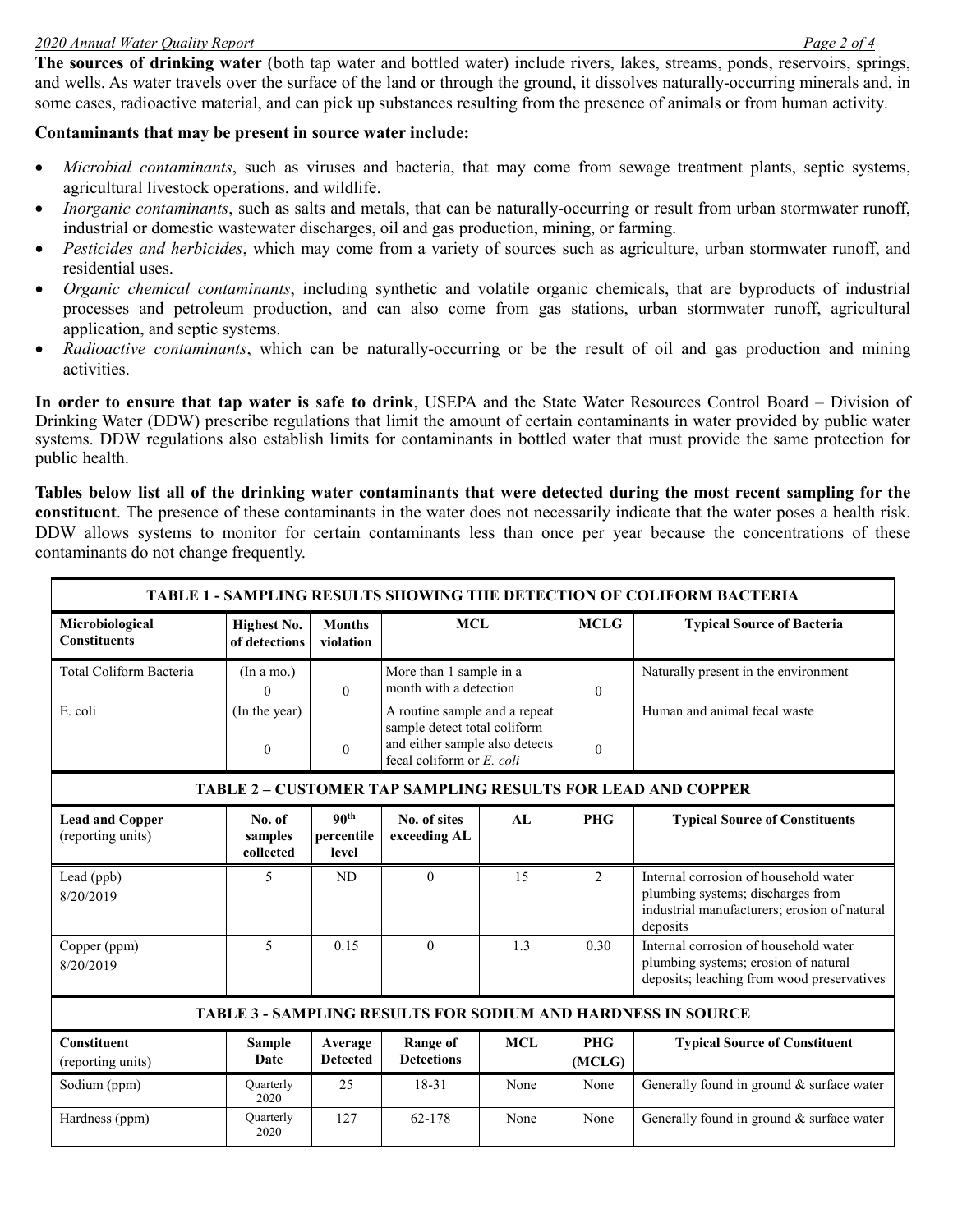#### *2020 Annual Water Quality Report Page 2 of 4*

**The sources of drinking water** (both tap water and bottled water) include rivers, lakes, streams, ponds, reservoirs, springs, and wells. As water travels over the surface of the land or through the ground, it dissolves naturally-occurring minerals and, in some cases, radioactive material, and can pick up substances resulting from the presence of animals or from human activity.

#### **Contaminants that may be present in source water include:**

- *Microbial contaminants*, such as viruses and bacteria, that may come from sewage treatment plants, septic systems, agricultural livestock operations, and wildlife.
- *Inorganic contaminants*, such as salts and metals, that can be naturally-occurring or result from urban stormwater runoff, industrial or domestic wastewater discharges, oil and gas production, mining, or farming.
- *Pesticides and herbicides*, which may come from a variety of sources such as agriculture, urban stormwater runoff, and residential uses.
- *Organic chemical contaminants*, including synthetic and volatile organic chemicals, that are byproducts of industrial processes and petroleum production, and can also come from gas stations, urban stormwater runoff, agricultural application, and septic systems.
- *Radioactive contaminants*, which can be naturally-occurring or be the result of oil and gas production and mining activities.

**In order to ensure that tap water is safe to drink**, USEPA and the State Water Resources Control Board – Division of Drinking Water (DDW) prescribe regulations that limit the amount of certain contaminants in water provided by public water systems. DDW regulations also establish limits for contaminants in bottled water that must provide the same protection for public health.

**Tables below list all of the drinking water contaminants that were detected during the most recent sampling for the constituent**. The presence of these contaminants in the water does not necessarily indicate that the water poses a health risk. DDW allows systems to monitor for certain contaminants less than once per year because the concentrations of these contaminants do not change frequently.

| TABLE 1 - SAMPLING RESULTS SHOWING THE DETECTION OF COLIFORM BACTERIA |                                     |                                         |                                                                                                                              |            |                      |                                                                                                                                        |
|-----------------------------------------------------------------------|-------------------------------------|-----------------------------------------|------------------------------------------------------------------------------------------------------------------------------|------------|----------------------|----------------------------------------------------------------------------------------------------------------------------------------|
| Microbiological<br><b>Constituents</b>                                | <b>Highest No.</b><br>of detections | <b>Months</b><br>violation              | <b>MCL</b>                                                                                                                   |            | <b>MCLG</b>          | <b>Typical Source of Bacteria</b>                                                                                                      |
| Total Coliform Bacteria                                               | (In a mo.)<br>$\Omega$              | $\theta$                                | More than 1 sample in a<br>month with a detection                                                                            |            | $\Omega$             | Naturally present in the environment                                                                                                   |
| E. coli                                                               | (In the year)<br>$\boldsymbol{0}$   | $\mathbf{0}$                            | A routine sample and a repeat<br>sample detect total coliform<br>and either sample also detects<br>fecal coliform or E. coli |            | $\theta$             | Human and animal fecal waste                                                                                                           |
| <b>TABLE 2 - CUSTOMER TAP SAMPLING RESULTS FOR LEAD AND COPPER</b>    |                                     |                                         |                                                                                                                              |            |                      |                                                                                                                                        |
| <b>Lead and Copper</b><br>(reporting units)                           | No. of<br>samples<br>collected      | 90 <sup>th</sup><br>percentile<br>level | No. of sites<br>exceeding AL                                                                                                 | AL         | <b>PHG</b>           | <b>Typical Source of Constituents</b>                                                                                                  |
| Lead (ppb)<br>8/20/2019                                               | 5                                   | ND.                                     | $\theta$                                                                                                                     | 15         | $\overline{2}$       | Internal corrosion of household water<br>plumbing systems; discharges from<br>industrial manufacturers; erosion of natural<br>deposits |
| Copper (ppm)<br>8/20/2019                                             | $\overline{\mathcal{L}}$            | 0.15                                    | $\Omega$                                                                                                                     | 1.3        | 0.30                 | Internal corrosion of household water<br>plumbing systems; erosion of natural<br>deposits; leaching from wood preservatives            |
| <b>TABLE 3 - SAMPLING RESULTS FOR SODIUM AND HARDNESS IN SOURCE</b>   |                                     |                                         |                                                                                                                              |            |                      |                                                                                                                                        |
| <b>Constituent</b><br>(reporting units)                               | <b>Sample</b><br>Date               | Average<br><b>Detected</b>              | <b>Range of</b><br><b>Detections</b>                                                                                         | <b>MCL</b> | <b>PHG</b><br>(MCLG) | <b>Typical Source of Constituent</b>                                                                                                   |
| Sodium (ppm)                                                          | Quarterly<br>2020                   | 25                                      | $18 - 31$                                                                                                                    | None       | None                 | Generally found in ground & surface water                                                                                              |
| Hardness (ppm)                                                        | Quarterly<br>2020                   | 127                                     | 62-178                                                                                                                       | None       | None                 | Generally found in ground & surface water                                                                                              |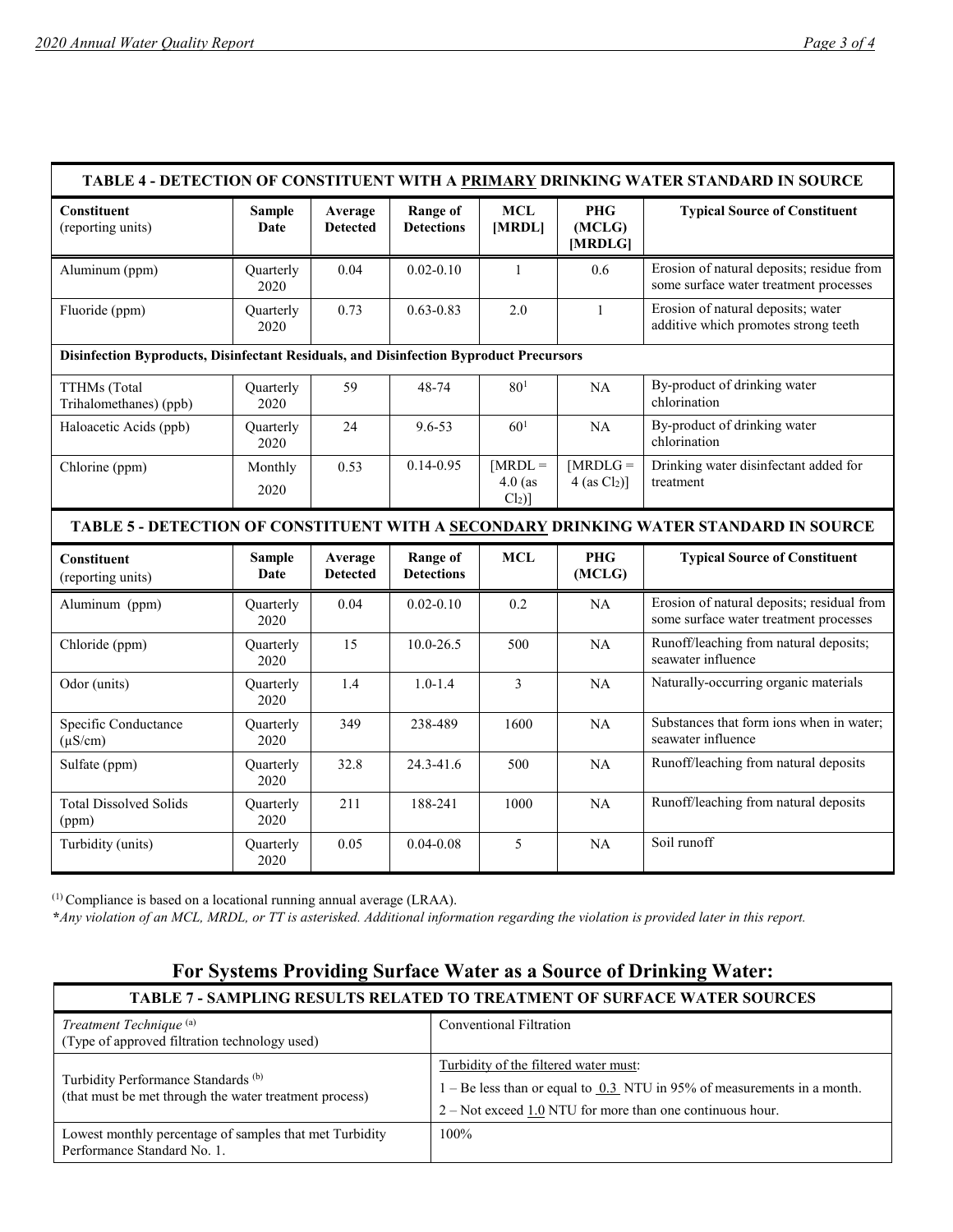| TABLE 4 - DETECTION OF CONSTITUENT WITH A PRIMARY DRINKING WATER STANDARD IN SOURCE    |                              |                            |                                      |                                   |                                          |                                                                                       |
|----------------------------------------------------------------------------------------|------------------------------|----------------------------|--------------------------------------|-----------------------------------|------------------------------------------|---------------------------------------------------------------------------------------|
| <b>Constituent</b><br>(reporting units)                                                | <b>Sample</b><br>Date        | Average<br><b>Detected</b> | <b>Range of</b><br><b>Detections</b> | <b>MCL</b><br>[MRDL]              | <b>PHG</b><br>(MCLG)<br>[MRDLG]          | <b>Typical Source of Constituent</b>                                                  |
| Aluminum (ppm)                                                                         | Quarterly<br>2020            | 0.04                       | $0.02 - 0.10$                        | $\mathbf{1}$                      | 0.6                                      | Erosion of natural deposits; residue from<br>some surface water treatment processes   |
| Fluoride (ppm)                                                                         | Quarterly<br>2020            | 0.73                       | $0.63 - 0.83$                        | 2.0                               | $\mathbf{1}$                             | Erosion of natural deposits; water<br>additive which promotes strong teeth            |
| Disinfection Byproducts, Disinfectant Residuals, and Disinfection Byproduct Precursors |                              |                            |                                      |                                   |                                          |                                                                                       |
| TTHMs (Total<br>Trihalomethanes) (ppb)                                                 | Quarterly<br>2020            | 59                         | 48-74                                | 80 <sup>1</sup>                   | NA                                       | By-product of drinking water<br>chlorination                                          |
| Haloacetic Acids (ppb)                                                                 | Quarterly<br>2020            | 24                         | $9.6 - 53$                           | 60 <sup>1</sup>                   | NA                                       | By-product of drinking water<br>chlorination                                          |
| Chlorine (ppm)                                                                         | Monthly<br>2020              | 0.53                       | $0.14 - 0.95$                        | $[MRDL =$<br>$4.0$ (as<br>$Cl2$ ] | $[MRDLG =$<br>$4$ (as Cl <sub>2</sub> )] | Drinking water disinfectant added for<br>treatment                                    |
|                                                                                        |                              |                            |                                      |                                   |                                          | TABLE 5 - DETECTION OF CONSTITUENT WITH A SECONDARY DRINKING WATER STANDARD IN SOURCE |
| <b>Constituent</b><br>(reporting units)                                                | <b>Sample</b><br><b>Date</b> | Average<br><b>Detected</b> | <b>Range of</b><br><b>Detections</b> | <b>MCL</b>                        | <b>PHG</b><br>(MCLG)                     | <b>Typical Source of Constituent</b>                                                  |
| Aluminum (ppm)                                                                         | Quarterly<br>2020            | 0.04                       | $0.02 - 0.10$                        | 0.2                               | <b>NA</b>                                | Erosion of natural deposits; residual from<br>some surface water treatment processes  |
| Chloride (ppm)                                                                         | Quarterly<br>2020            | 15                         | $10.0 - 26.5$                        | 500                               | <b>NA</b>                                | Runoff/leaching from natural deposits;<br>seawater influence                          |
| Odor (units)                                                                           | <b>Ouarterly</b><br>2020     | 1.4                        | $1.0 - 1.4$                          | 3                                 | <b>NA</b>                                | Naturally-occurring organic materials                                                 |
| Specific Conductance<br>$(\mu S/cm)$                                                   | Quarterly<br>2020            | 349                        | 238-489                              | 1600                              | NA                                       | Substances that form ions when in water;<br>seawater influence                        |
| Sulfate (ppm)                                                                          | Quarterly<br>2020            | 32.8                       | 24.3-41.6                            | 500                               | NA                                       | Runoff/leaching from natural deposits                                                 |
| <b>Total Dissolved Solids</b><br>(ppm)                                                 | Quarterly<br>2020            | 211                        | 188-241                              | 1000                              | NA                                       | Runoff/leaching from natural deposits                                                 |
| Turbidity (units)                                                                      | Quarterly<br>2020            | 0.05                       | $0.04 - 0.08$                        | 5                                 | NA                                       | Soil runoff                                                                           |

(1) Compliance is based on a locational running annual average (LRAA).

 **\****Any violation of an MCL, MRDL, or TT is asterisked. Additional information regarding the violation is provided later in this report.*

## **For Systems Providing Surface Water as a Source of Drinking Water:**

| <b>TABLE 7 - SAMPLING RESULTS RELATED TO TREATMENT OF SURFACE WATER SOURCES</b>                          |                                                                                                                                                                                     |  |  |  |
|----------------------------------------------------------------------------------------------------------|-------------------------------------------------------------------------------------------------------------------------------------------------------------------------------------|--|--|--|
| Treatment Technique <sup>(a)</sup><br>(Type of approved filtration technology used)                      | Conventional Filtration                                                                                                                                                             |  |  |  |
| Turbidity Performance Standards <sup>(b)</sup><br>(that must be met through the water treatment process) | Turbidity of the filtered water must:<br>$1 - Be$ less than or equal to $0.3$ NTU in 95% of measurements in a month.<br>$2 - Not exceed 1.0 NTU$ for more than one continuous hour. |  |  |  |
| Lowest monthly percentage of samples that met Turbidity<br>Performance Standard No. 1.                   | $100\%$                                                                                                                                                                             |  |  |  |